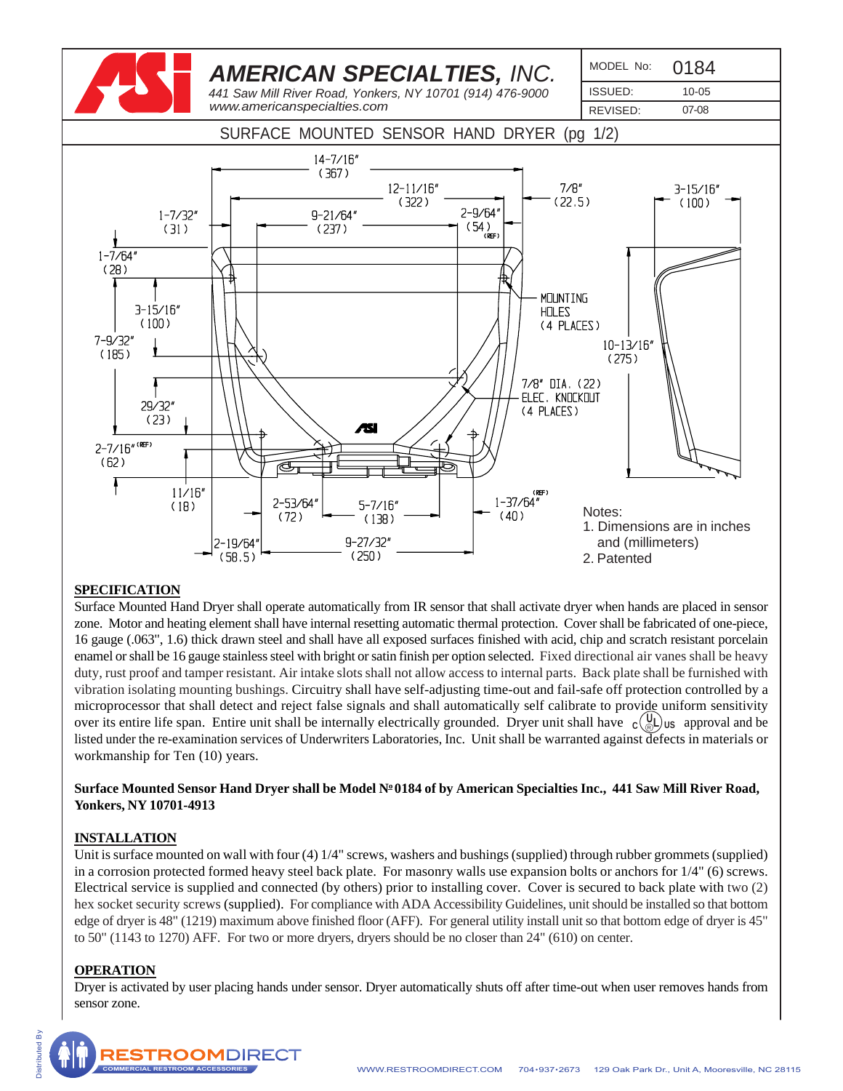

#### **SPECIFICATION**

Surface Mounted Hand Dryer shall operate automatically from IR sensor that shall activate dryer when hands are placed in sensor zone. Motor and heating element shall have internal resetting automatic thermal protection. Cover shall be fabricated of one-piece, 16 gauge (.063", 1.6) thick drawn steel and shall have all exposed surfaces finished with acid, chip and scratch resistant porcelain enamel or shall be 16 gauge stainless steel with bright or satin finish per option selected. Fixed directional air vanes shall be heavy duty, rust proof and tamper resistant. Air intake slots shall not allow access to internal parts. Back plate shall be furnished with vibration isolating mounting bushings. Circuitry shall have self-adjusting time-out and fail-safe off protection controlled by a microprocessor that shall detect and reject false signals and shall automatically self calibrate to provide uniform sensitivity over its entire life span. Entire unit shall be internally electrically grounded. Dryer unit shall have  $c(\mathbb{Q})$  us approval and be listed under the re-examination services of Underwriters Laboratories, Inc. Unit shall be warranted against defects in materials or workmanship for Ten (10) years.

## Surface Mounted Sensor Hand Dryer shall be Model N<sup>o</sup> 0184 of by American Specialties Inc., 441 Saw Mill River Road, **Yonkers, NY 10701-4913**

# **INSTALLATION**

Unit is surface mounted on wall with four (4) 1/4" screws, washers and bushings (supplied) through rubber grommets (supplied) in a corrosion protected formed heavy steel back plate. For masonry walls use expansion bolts or anchors for 1/4" (6) screws. Electrical service is supplied and connected (by others) prior to installing cover. Cover is secured to back plate with two (2) hex socket security screws (supplied). For compliance with ADA Accessibility Guidelines, unit should be installed so that bottom edge of dryer is 48" (1219) maximum above finished floor (AFF). For general utility install unit so that bottom edge of dryer is 45" to 50" (1143 to 1270) AFF. For two or more dryers, dryers should be no closer than 24" (610) on center.

#### **OPERATION**

Dryer is activated by user placing hands under sensor. Dryer automatically shuts off after time-out when user removes hands from sensor zone.